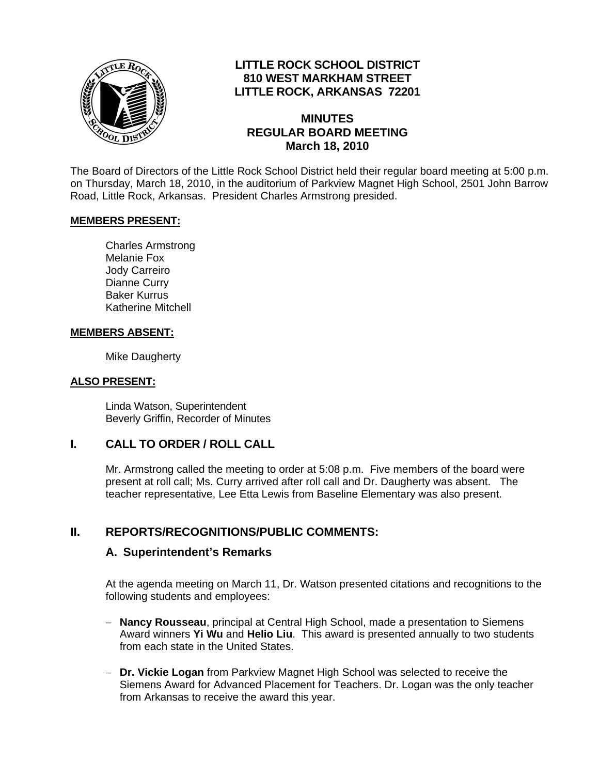

# **LITTLE ROCK SCHOOL DISTRICT 810 WEST MARKHAM STREET LITTLE ROCK, ARKANSAS 72201**

#### **MINUTES REGULAR BOARD MEETING March 18, 2010**

The Board of Directors of the Little Rock School District held their regular board meeting at 5:00 p.m. on Thursday, March 18, 2010, in the auditorium of Parkview Magnet High School, 2501 John Barrow Road, Little Rock, Arkansas. President Charles Armstrong presided.

#### **MEMBERS PRESENT:**

Charles Armstrong Melanie Fox Jody Carreiro Dianne Curry Baker Kurrus Katherine Mitchell

#### **MEMBERS ABSENT:**

Mike Daugherty

#### **ALSO PRESENT:**

 Linda Watson, Superintendent Beverly Griffin, Recorder of Minutes

## **I. CALL TO ORDER / ROLL CALL**

Mr. Armstrong called the meeting to order at 5:08 p.m. Five members of the board were present at roll call; Ms. Curry arrived after roll call and Dr. Daugherty was absent. The teacher representative, Lee Etta Lewis from Baseline Elementary was also present.

## **II. REPORTS/RECOGNITIONS/PUBLIC COMMENTS:**

#### **A. Superintendent's Remarks**

At the agenda meeting on March 11, Dr. Watson presented citations and recognitions to the following students and employees:

- − **Nancy Rousseau**, principal at Central High School, made a presentation to Siemens Award winners **Yi Wu** and **Helio Liu**. This award is presented annually to two students from each state in the United States.
- − **Dr. Vickie Logan** from Parkview Magnet High School was selected to receive the Siemens Award for Advanced Placement for Teachers. Dr. Logan was the only teacher from Arkansas to receive the award this year.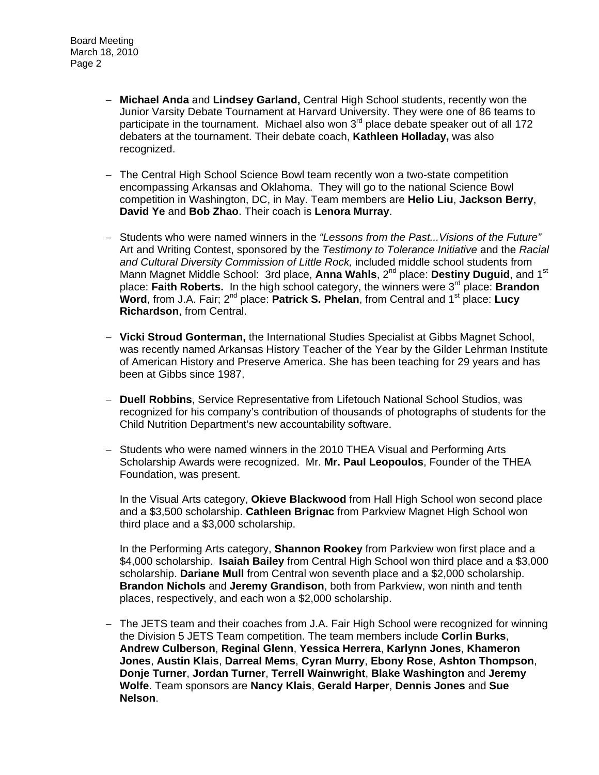- − **Michael Anda** and **Lindsey Garland,** Central High School students, recently won the Junior Varsity Debate Tournament at Harvard University. They were one of 86 teams to participate in the tournament. Michael also won  $3<sup>rd</sup>$  place debate speaker out of all 172 debaters at the tournament. Their debate coach, **Kathleen Holladay,** was also recognized.
- − The Central High School Science Bowl team recently won a two-state competition encompassing Arkansas and Oklahoma. They will go to the national Science Bowl competition in Washington, DC, in May. Team members are **Helio Liu**, **Jackson Berry**, **David Ye** and **Bob Zhao**. Their coach is **Lenora Murray**.
- − Students who were named winners in the *"Lessons from the Past...Visions of the Future"* Art and Writing Contest, sponsored by the *Testimony to Tolerance Initiative* and the *Racial and Cultural Diversity Commission of Little Rock,* included middle school students from Mann Magnet Middle School: 3rd place, Anna Wahls, 2<sup>nd</sup> place: Destiny Duguid, and 1<sup>st</sup> place: **Faith Roberts.** In the high school category, the winners were 3rd place: **Brandon Word**, from J.A. Fair; 2<sup>nd</sup> place: Patrick S. Phelan, from Central and 1<sup>st</sup> place: Lucy **Richardson**, from Central.
- − **Vicki Stroud Gonterman,** the International Studies Specialist at Gibbs Magnet School, was recently named Arkansas History Teacher of the Year by the Gilder Lehrman Institute of American History and Preserve America. She has been teaching for 29 years and has been at Gibbs since 1987.
- − **Duell Robbins**, Service Representative from Lifetouch National School Studios, was recognized for his company's contribution of thousands of photographs of students for the Child Nutrition Department's new accountability software.
- − Students who were named winners in the 2010 THEA Visual and Performing Arts Scholarship Awards were recognized. Mr. **Mr. Paul Leopoulos**, Founder of the THEA Foundation, was present.

In the Visual Arts category, **Okieve Blackwood** from Hall High School won second place and a \$3,500 scholarship. **Cathleen Brignac** from Parkview Magnet High School won third place and a \$3,000 scholarship.

In the Performing Arts category, **Shannon Rookey** from Parkview won first place and a \$4,000 scholarship. **Isaiah Bailey** from Central High School won third place and a \$3,000 scholarship. **Dariane Mull** from Central won seventh place and a \$2,000 scholarship. **Brandon Nichols** and **Jeremy Grandison**, both from Parkview, won ninth and tenth places, respectively, and each won a \$2,000 scholarship.

− The JETS team and their coaches from J.A. Fair High School were recognized for winning the Division 5 JETS Team competition. The team members include **Corlin Burks**, **Andrew Culberson**, **Reginal Glenn**, **Yessica Herrera**, **Karlynn Jones**, **Khameron Jones**, **Austin Klais**, **Darreal Mems**, **Cyran Murry**, **Ebony Rose**, **Ashton Thompson**, **Donje Turner**, **Jordan Turner**, **Terrell Wainwright**, **Blake Washington** and **Jeremy Wolfe**. Team sponsors are **Nancy Klais**, **Gerald Harper**, **Dennis Jones** and **Sue Nelson**.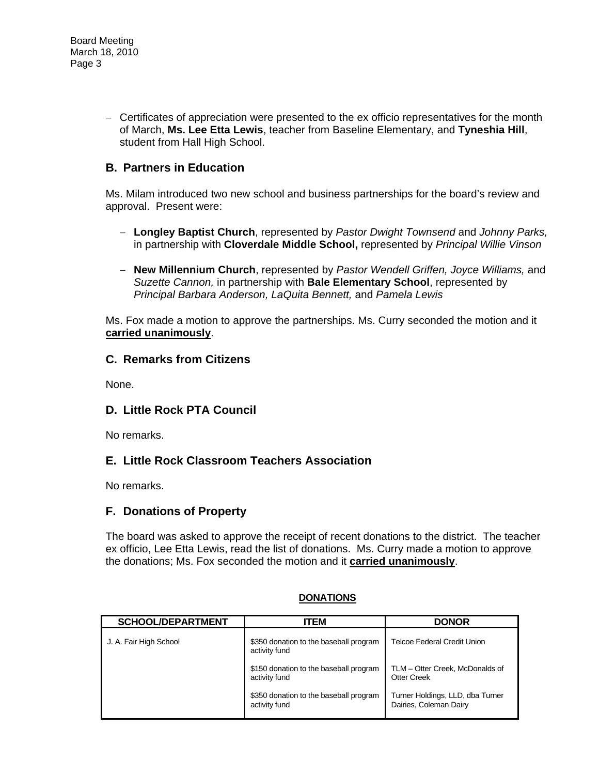− Certificates of appreciation were presented to the ex officio representatives for the month of March, **Ms. Lee Etta Lewis**, teacher from Baseline Elementary, and **Tyneshia Hill**, student from Hall High School.

# **B. Partners in Education**

Ms. Milam introduced two new school and business partnerships for the board's review and approval. Present were:

- − **Longley Baptist Church**, represented by *Pastor Dwight Townsend* and *Johnny Parks,* in partnership with **Cloverdale Middle School,** represented by *Principal Willie Vinson*
- − **New Millennium Church**, represented by *Pastor Wendell Griffen, Joyce Williams,* and *Suzette Cannon,* in partnership with **Bale Elementary School**, represented by *Principal Barbara Anderson, LaQuita Bennett,* and *Pamela Lewis*

Ms. Fox made a motion to approve the partnerships. Ms. Curry seconded the motion and it **carried unanimously**.

## **C. Remarks from Citizens**

None.

## **D. Little Rock PTA Council**

No remarks.

## **E. Little Rock Classroom Teachers Association**

No remarks.

## **F. Donations of Property**

The board was asked to approve the receipt of recent donations to the district. The teacher ex officio, Lee Etta Lewis, read the list of donations. Ms. Curry made a motion to approve the donations; Ms. Fox seconded the motion and it **carried unanimously**.

| <b>SCHOOL/DEPARTMENT</b> | <b>ITEM</b>                                             | <b>DONOR</b>                                               |
|--------------------------|---------------------------------------------------------|------------------------------------------------------------|
| J. A. Fair High School   | \$350 donation to the baseball program<br>activity fund | Telcoe Federal Credit Union                                |
|                          | \$150 donation to the baseball program<br>activity fund | TLM - Otter Creek, McDonalds of<br><b>Otter Creek</b>      |
|                          | \$350 donation to the baseball program<br>activity fund | Turner Holdings, LLD, dba Turner<br>Dairies, Coleman Dairy |

#### **DONATIONS**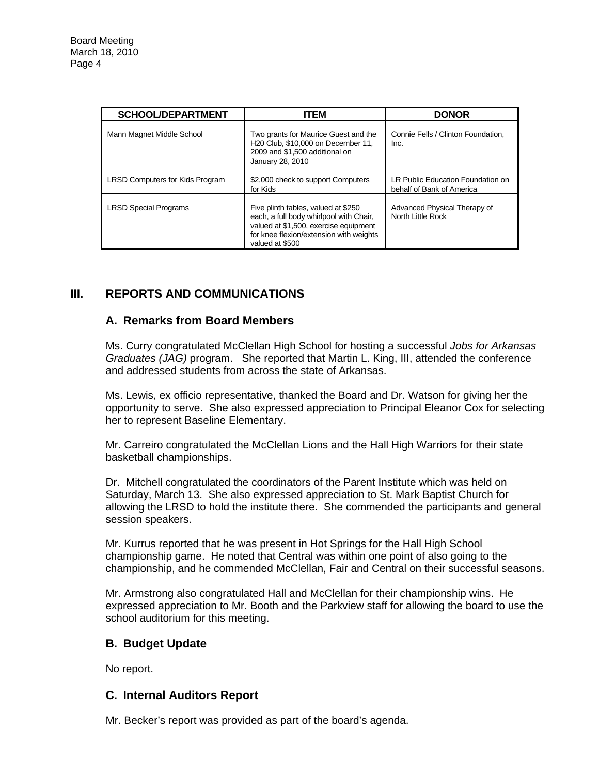| <b>SCHOOL/DEPARTMENT</b>               | <b>ITEM</b>                                                                                                                                                                           | <b>DONOR</b>                                                   |
|----------------------------------------|---------------------------------------------------------------------------------------------------------------------------------------------------------------------------------------|----------------------------------------------------------------|
| Mann Magnet Middle School              | Two grants for Maurice Guest and the<br>H <sub>20</sub> Club. \$10,000 on December 11.<br>2009 and \$1,500 additional on<br>January 28, 2010                                          | Connie Fells / Clinton Foundation.<br>Inc.                     |
| <b>LRSD Computers for Kids Program</b> | \$2,000 check to support Computers<br>for Kids                                                                                                                                        | LR Public Education Foundation on<br>behalf of Bank of America |
| <b>LRSD Special Programs</b>           | Five plinth tables, valued at \$250<br>each, a full body whirlpool with Chair,<br>valued at \$1,500, exercise equipment<br>for knee flexion/extension with weights<br>valued at \$500 | Advanced Physical Therapy of<br>North Little Rock              |

# **III. REPORTS AND COMMUNICATIONS**

#### **A. Remarks from Board Members**

Ms. Curry congratulated McClellan High School for hosting a successful *Jobs for Arkansas Graduates (JAG)* program. She reported that Martin L. King, III, attended the conference and addressed students from across the state of Arkansas.

Ms. Lewis, ex officio representative, thanked the Board and Dr. Watson for giving her the opportunity to serve. She also expressed appreciation to Principal Eleanor Cox for selecting her to represent Baseline Elementary.

Mr. Carreiro congratulated the McClellan Lions and the Hall High Warriors for their state basketball championships.

Dr. Mitchell congratulated the coordinators of the Parent Institute which was held on Saturday, March 13. She also expressed appreciation to St. Mark Baptist Church for allowing the LRSD to hold the institute there. She commended the participants and general session speakers.

Mr. Kurrus reported that he was present in Hot Springs for the Hall High School championship game. He noted that Central was within one point of also going to the championship, and he commended McClellan, Fair and Central on their successful seasons.

Mr. Armstrong also congratulated Hall and McClellan for their championship wins. He expressed appreciation to Mr. Booth and the Parkview staff for allowing the board to use the school auditorium for this meeting.

#### **B. Budget Update**

No report.

#### **C. Internal Auditors Report**

Mr. Becker's report was provided as part of the board's agenda.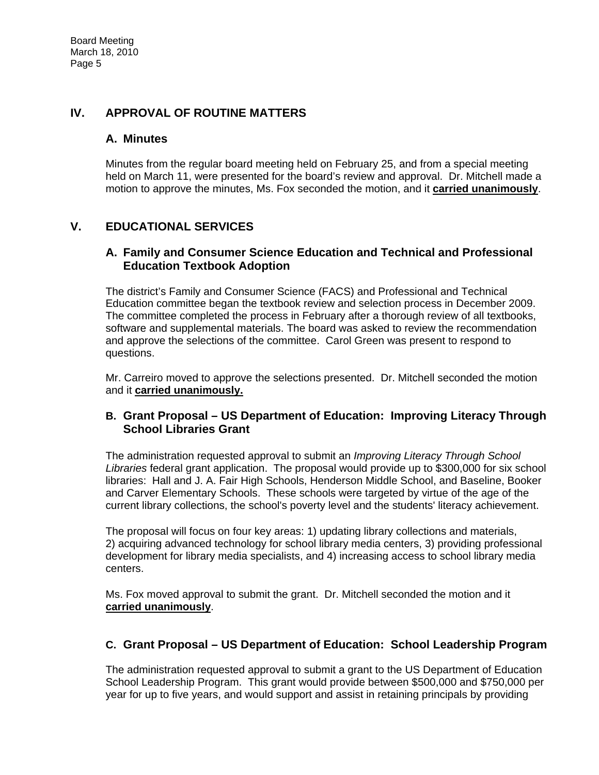# **IV. APPROVAL OF ROUTINE MATTERS**

## **A. Minutes**

Minutes from the regular board meeting held on February 25, and from a special meeting held on March 11, were presented for the board's review and approval. Dr. Mitchell made a motion to approve the minutes, Ms. Fox seconded the motion, and it **carried unanimously**.

# **V. EDUCATIONAL SERVICES**

### **A. Family and Consumer Science Education and Technical and Professional Education Textbook Adoption**

The district's Family and Consumer Science (FACS) and Professional and Technical Education committee began the textbook review and selection process in December 2009. The committee completed the process in February after a thorough review of all textbooks, software and supplemental materials. The board was asked to review the recommendation and approve the selections of the committee. Carol Green was present to respond to questions.

Mr. Carreiro moved to approve the selections presented. Dr. Mitchell seconded the motion and it **carried unanimously.**

## **B. Grant Proposal – US Department of Education: Improving Literacy Through School Libraries Grant**

The administration requested approval to submit an *Improving Literacy Through School Libraries* federal grant application. The proposal would provide up to \$300,000 for six school libraries: Hall and J. A. Fair High Schools, Henderson Middle School, and Baseline, Booker and Carver Elementary Schools. These schools were targeted by virtue of the age of the current library collections, the school's poverty level and the students' literacy achievement.

The proposal will focus on four key areas: 1) updating library collections and materials, 2) acquiring advanced technology for school library media centers, 3) providing professional development for library media specialists, and 4) increasing access to school library media centers.

Ms. Fox moved approval to submit the grant. Dr. Mitchell seconded the motion and it **carried unanimously**.

# **C. Grant Proposal – US Department of Education: School Leadership Program**

The administration requested approval to submit a grant to the US Department of Education School Leadership Program. This grant would provide between \$500,000 and \$750,000 per year for up to five years, and would support and assist in retaining principals by providing